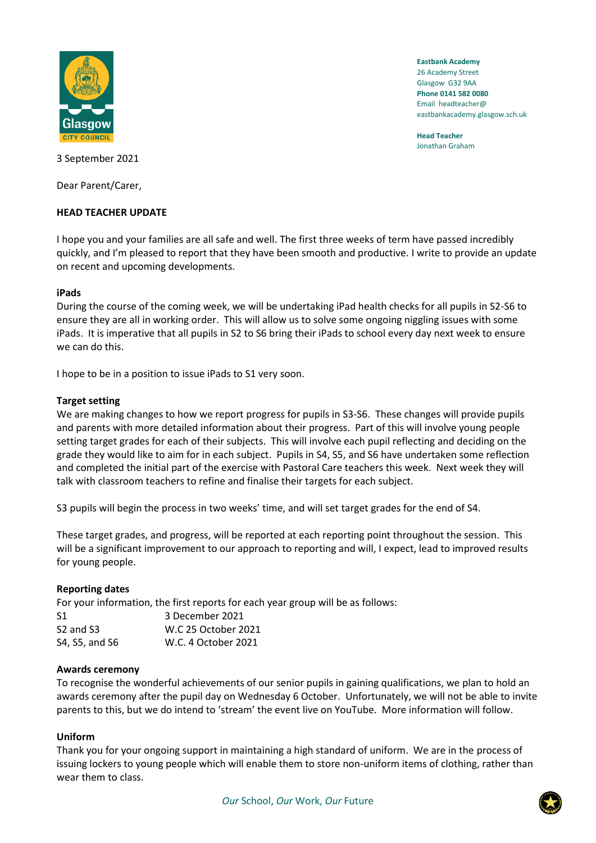

**Eastbank Academy** 26 Academy Street Glasgow G32 9AA **Phone 0141 582 0080** Email headteacher@ eastbankacademy.glasgow.sch.uk

**Head Teacher** Jonathan Graham

3 September 2021

Dear Parent/Carer,

# **HEAD TEACHER UPDATE**

I hope you and your families are all safe and well. The first three weeks of term have passed incredibly quickly, and I'm pleased to report that they have been smooth and productive. I write to provide an update on recent and upcoming developments.

# **iPads**

During the course of the coming week, we will be undertaking iPad health checks for all pupils in S2-S6 to ensure they are all in working order. This will allow us to solve some ongoing niggling issues with some iPads. It is imperative that all pupils in S2 to S6 bring their iPads to school every day next week to ensure we can do this.

I hope to be in a position to issue iPads to S1 very soon.

### **Target setting**

We are making changes to how we report progress for pupils in S3-S6. These changes will provide pupils and parents with more detailed information about their progress. Part of this will involve young people setting target grades for each of their subjects. This will involve each pupil reflecting and deciding on the grade they would like to aim for in each subject. Pupils in S4, S5, and S6 have undertaken some reflection and completed the initial part of the exercise with Pastoral Care teachers this week. Next week they will talk with classroom teachers to refine and finalise their targets for each subject.

S3 pupils will begin the process in two weeks' time, and will set target grades for the end of S4.

These target grades, and progress, will be reported at each reporting point throughout the session. This will be a significant improvement to our approach to reporting and will, I expect, lead to improved results for young people.

# **Reporting dates**

For your information, the first reports for each year group will be as follows:

| S1                                | 3 December 2021     |
|-----------------------------------|---------------------|
| S <sub>2</sub> and S <sub>3</sub> | W.C 25 October 2021 |
| S4, S5, and S6                    | W.C. 4 October 2021 |

### **Awards ceremony**

To recognise the wonderful achievements of our senior pupils in gaining qualifications, we plan to hold an awards ceremony after the pupil day on Wednesday 6 October. Unfortunately, we will not be able to invite parents to this, but we do intend to 'stream' the event live on YouTube. More information will follow.

# **Uniform**

Thank you for your ongoing support in maintaining a high standard of uniform. We are in the process of issuing lockers to young people which will enable them to store non-uniform items of clothing, rather than wear them to class.